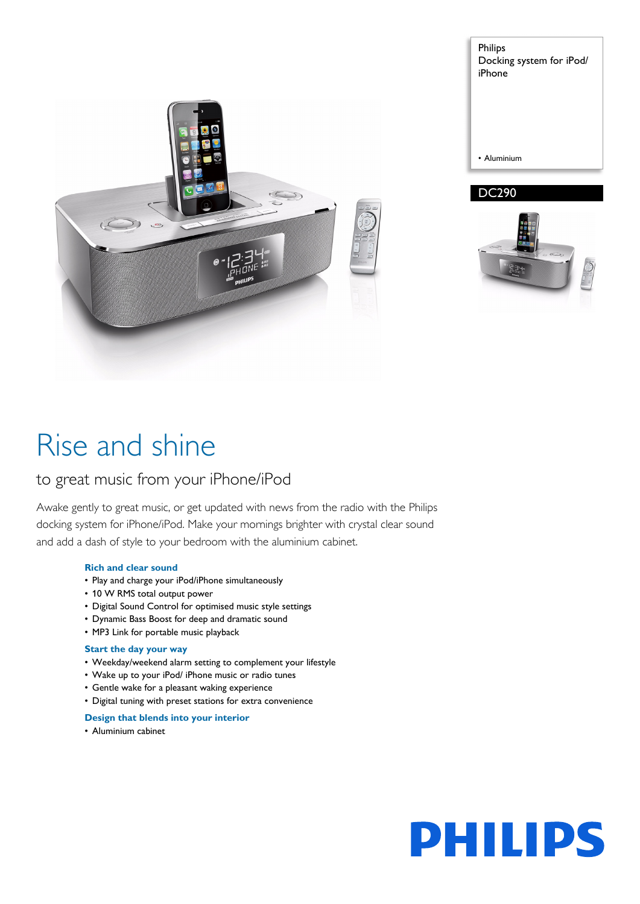

Philips Docking system for iPod/ iPhone • Aluminium DC290



# Rise and shine

# to great music from your iPhone/iPod

Awake gently to great music, or get updated with news from the radio with the Philips docking system for iPhone/iPod. Make your mornings brighter with crystal clear sound and add a dash of style to your bedroom with the aluminium cabinet.

# **Rich and clear sound**

- Play and charge your iPod/iPhone simultaneously
- 10 W RMS total output power
- Digital Sound Control for optimised music style settings
- Dynamic Bass Boost for deep and dramatic sound
- MP3 Link for portable music playback

# **Start the day your way**

- Weekday/weekend alarm setting to complement your lifestyle
- Wake up to your iPod/ iPhone music or radio tunes
- Gentle wake for a pleasant waking experience
- Digital tuning with preset stations for extra convenience

# **Design that blends into your interior**

• Aluminium cabinet

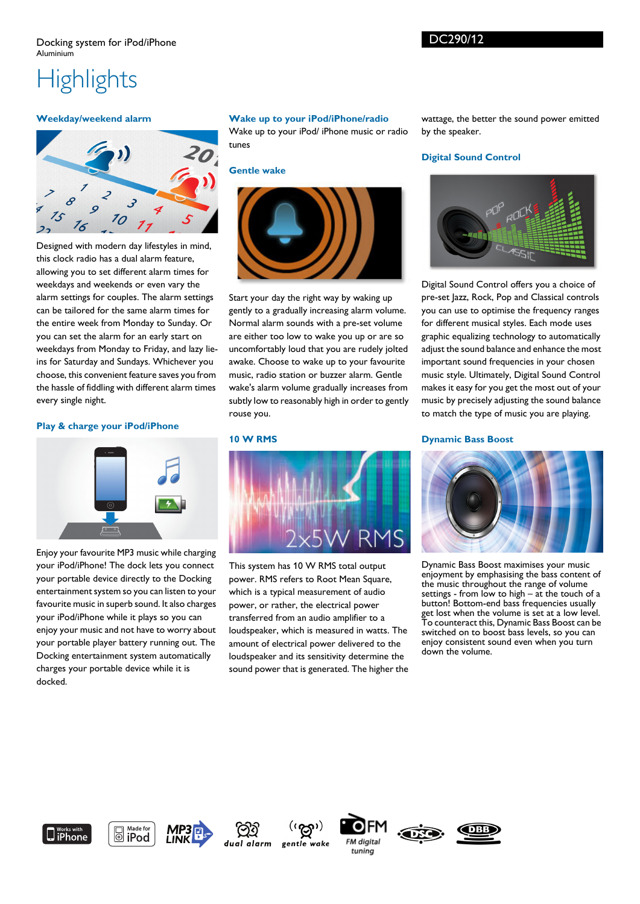# DC290/12

# **Highlights**

# **Weekday/weekend alarm**



Designed with modern day lifestyles in mind, this clock radio has a dual alarm feature, allowing you to set different alarm times for weekdays and weekends or even vary the alarm settings for couples. The alarm settings can be tailored for the same alarm times for the entire week from Monday to Sunday. Or you can set the alarm for an early start on weekdays from Monday to Friday, and lazy lieins for Saturday and Sundays. Whichever you choose, this convenient feature saves you from the hassle of fiddling with different alarm times every single night.

# **Play & charge your iPod/iPhone**



Enjoy your favourite MP3 music while charging your iPod/iPhone! The dock lets you connect your portable device directly to the Docking entertainment system so you can listen to your favourite music in superb sound. It also charges your iPod/iPhone while it plays so you can enjoy your music and not have to worry about your portable player battery running out. The Docking entertainment system automatically charges your portable device while it is docked.

# **Wake up to your iPod/iPhone/radio**

Wake up to your iPod/ iPhone music or radio tunes

**Gentle wake**



Start your day the right way by waking up gently to a gradually increasing alarm volume. Normal alarm sounds with a pre-set volume are either too low to wake you up or are so uncomfortably loud that you are rudely jolted awake. Choose to wake up to your favourite music, radio station or buzzer alarm. Gentle wake's alarm volume gradually increases from subtly low to reasonably high in order to gently rouse you.

### **10 W RMS**



This system has 10 W RMS total output power. RMS refers to Root Mean Square, which is a typical measurement of audio power, or rather, the electrical power transferred from an audio amplifier to a loudspeaker, which is measured in watts. The amount of electrical power delivered to the loudspeaker and its sensitivity determine the sound power that is generated. The higher the wattage, the better the sound power emitted by the speaker.

# **Digital Sound Control**



Digital Sound Control offers you a choice of pre-set Jazz, Rock, Pop and Classical controls you can use to optimise the frequency ranges for different musical styles. Each mode uses graphic equalizing technology to automatically adjust the sound balance and enhance the most important sound frequencies in your chosen music style. Ultimately, Digital Sound Control makes it easy for you get the most out of your music by precisely adjusting the sound balance to match the type of music you are playing.

### **Dynamic Bass Boost**



Dynamic Bass Boost maximises your music enjoyment by emphasising the bass content of the music throughout the range of volume settings - from low to high  $-$  at the touch of a button! Bottom-end bass frequencies usually get lost when the volume is set at a low level. To counteract this, Dynamic Bass Boost can be switched on to boost bass levels, so you can enjoy consistent sound even when you turn down the volume.